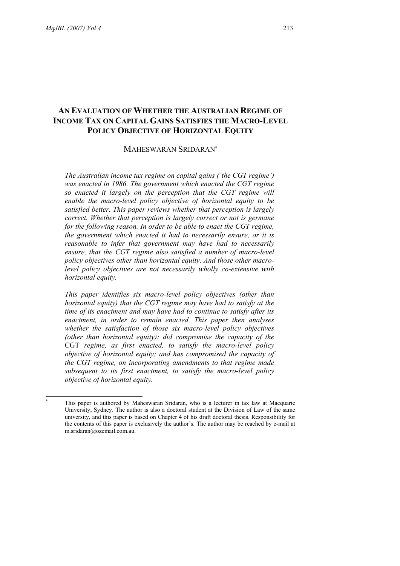$\overline{\phantom{a}}$ \*

# **AN EVALUATION OF WHETHER THE AUSTRALIAN REGIME OF INCOME TAX ON CAPITAL GAINS SATISFIES THE MACRO-LEVEL POLICY OBJECTIVE OF HORIZONTAL EQUITY**

## MAHESWARAN SRIDARAN\*

*The Australian income tax regime on capital gains ('the CGT regime') was enacted in 1986. The government which enacted the CGT regime so enacted it largely on the perception that the CGT regime will enable the macro-level policy objective of horizontal equity to be satisfied better. This paper reviews whether that perception is largely correct. Whether that perception is largely correct or not is germane for the following reason. In order to be able to enact the CGT regime, the government which enacted it had to necessarily ensure, or it is reasonable to infer that government may have had to necessarily ensure, that the CGT regime also satisfied a number of macro-level policy objectives other than horizontal equity. And those other macrolevel policy objectives are not necessarily wholly co-extensive with horizontal equity.* 

*This paper identifies six macro-level policy objectives (other than horizontal equity) that the CGT regime may have had to satisfy at the time of its enactment and may have had to continue to satisfy after its enactment, in order to remain enacted. This paper then analyses whether the satisfaction of those six macro-level policy objectives (other than horizontal equity): did compromise the capacity of the* CGT *regime, as first enacted, to satisfy the macro-level policy objective of horizontal equity; and has compromised the capacity of the CGT regime, on incorporating amendments to that regime made subsequent to its first enactment, to satisfy the macro-level policy objective of horizontal equity.* 

This paper is authored by Maheswaran Sridaran, who is a lecturer in tax law at Macquarie University, Sydney. The author is also a doctoral student at the Division of Law of the same university, and this paper is based on Chapter 4 of his draft doctoral thesis. Responsibility for the contents of this paper is exclusively the author's. The author may be reached by e-mail at m.sridaran@ozemail.com.au.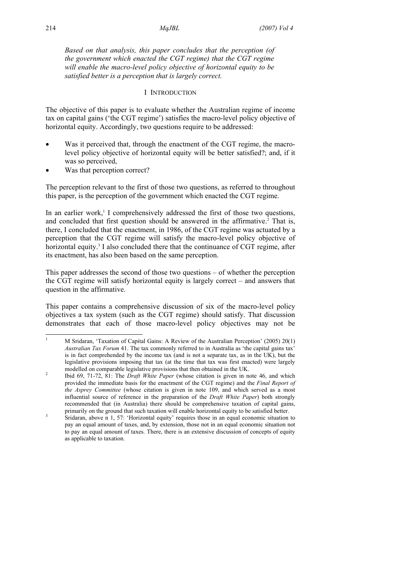*Based on that analysis, this paper concludes that the perception (of the government which enacted the CGT regime) that the CGT regime will enable the macro-level policy objective of horizontal equity to be satisfied better is a perception that is largely correct.* 

## I INTRODUCTION

The objective of this paper is to evaluate whether the Australian regime of income tax on capital gains ('the CGT regime') satisfies the macro-level policy objective of horizontal equity. Accordingly, two questions require to be addressed:

- Was it perceived that, through the enactment of the CGT regime, the macrolevel policy objective of horizontal equity will be better satisfied?; and, if it was so perceived,
- Was that perception correct?

The perception relevant to the first of those two questions, as referred to throughout this paper, is the perception of the government which enacted the CGT regime.

In an earlier work,<sup> $1$ </sup> I comprehensively addressed the first of those two questions, and concluded that first question should be answered in the affirmative.<sup>2</sup> That is, there, I concluded that the enactment, in 1986, of the CGT regime was actuated by a perception that the CGT regime will satisfy the macro-level policy objective of horizontal equity.<sup>3</sup> I also concluded there that the continuance of CGT regime, after its enactment, has also been based on the same perception.

This paper addresses the second of those two questions – of whether the perception the CGT regime will satisfy horizontal equity is largely correct – and answers that question in the affirmative.

This paper contains a comprehensive discussion of six of the macro-level policy objectives a tax system (such as the CGT regime) should satisfy. That discussion demonstrates that each of those macro-level policy objectives may not be

 $\overline{\phantom{a}}$ 

<sup>1</sup> M Sridaran, 'Taxation of Capital Gains: A Review of the Australian Perception' (2005) 20(1) *Australian Tax Forum* 41. The tax commonly referred to in Australia as 'the capital gains tax' is in fact comprehended by the income tax (and is not a separate tax, as in the UK), but the legislative provisions imposing that tax (at the time that tax was first enacted) were largely modelled on comparable legislative provisions that then obtained in the UK.

Ibid 69, 71-72, 81: The *Draft White Paper* (whose citation is given in note 46, and which provided the immediate basis for the enactment of the CGT regime) and the *Final Report of the Asprey Committee* (whose citation is given in note 109, and which served as a most influential source of reference in the preparation of the *Draft White Paper*) both strongly recommended that (in Australia) there should be comprehensive taxation of capital gains, primarily on the ground that such taxation will enable horizontal equity to be satisfied better.

Sridaran, above n 1, 57: 'Horizontal equity' requires those in an equal economic situation to pay an equal amount of taxes, and, by extension, those not in an equal economic situation not to pay an equal amount of taxes. There, there is an extensive discussion of concepts of equity as applicable to taxation.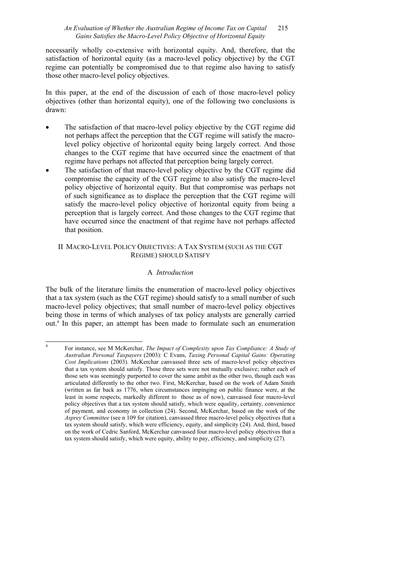## *An Evaluation of Whether the Australian Regime of Income Tax on Capital* 215 *Gains Satisfies the Macro-Level Policy Objective of Horizontal Equity*

necessarily wholly co-extensive with horizontal equity. And, therefore, that the satisfaction of horizontal equity (as a macro-level policy objective) by the CGT regime can potentially be compromised due to that regime also having to satisfy those other macro-level policy objectives.

In this paper, at the end of the discussion of each of those macro-level policy objectives (other than horizontal equity), one of the following two conclusions is drawn:

- The satisfaction of that macro-level policy objective by the CGT regime did not perhaps affect the perception that the CGT regime will satisfy the macrolevel policy objective of horizontal equity being largely correct. And those changes to the CGT regime that have occurred since the enactment of that regime have perhaps not affected that perception being largely correct.
- The satisfaction of that macro-level policy objective by the CGT regime did compromise the capacity of the CGT regime to also satisfy the macro-level policy objective of horizontal equity. But that compromise was perhaps not of such significance as to displace the perception that the CGT regime will satisfy the macro-level policy objective of horizontal equity from being a perception that is largely correct. And those changes to the CGT regime that have occurred since the enactment of that regime have not perhaps affected that position.

## II MACRO-LEVEL POLICY OBJECTIVES: A TAX SYSTEM (SUCH AS THE CGT REGIME) SHOULD SATISFY

## A *Introduction*

The bulk of the literature limits the enumeration of macro-level policy objectives that a tax system (such as the CGT regime) should satisfy to a small number of such macro-level policy objectives; that small number of macro-level policy objectives being those in terms of which analyses of tax policy analysts are generally carried out.4 In this paper, an attempt has been made to formulate such an enumeration

 $\overline{a}$ 

<sup>4</sup> For instance, see M McKerchar, *The Impact of Complexity upon Tax Compliance: A Study of Australian Personal Taxpayers* (2003): C Evans, *Taxing Personal Capital Gains: Operating Cost Implications* (2003). McKerchar canvassed three sets of macro-level policy objectives that a tax system should satisfy. Those three sets were not mutually exclusive; rather each of those sets was seemingly purported to cover the same ambit as the other two, though each was articulated differently to the other two. First, McKerchar, based on the work of Adam Smith (written as far back as 1776, when circumstances impinging on public finance were, at the least in some respects, markedly different to those as of now), canvassed four macro-level policy objectives that a tax system should satisfy, which were equality, certainty, convenience of payment, and economy in collection (24). Second, McKerchar, based on the work of the *Asprey Committee* (see n 109 for citation), canvassed three macro-level policy objectives that a tax system should satisfy, which were efficiency, equity, and simplicity (24). And, third, based on the work of Cedric Sanford, McKerchar canvassed four macro-level policy objectives that a tax system should satisfy, which were equity, ability to pay, efficiency, and simplicity (27).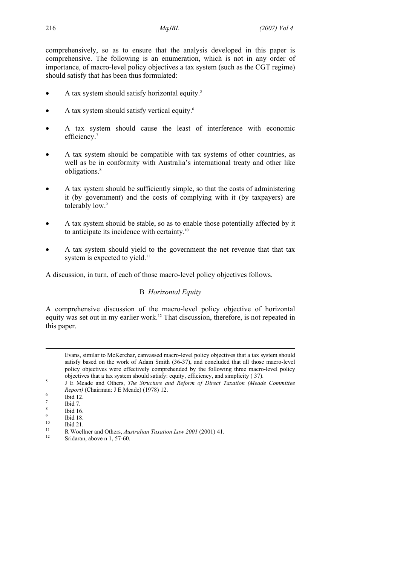comprehensively, so as to ensure that the analysis developed in this paper is comprehensive. The following is an enumeration, which is not in any order of importance, of macro-level policy objectives a tax system (such as the CGT regime) should satisfy that has been thus formulated:

- A tax system should satisfy horizontal equity.5
- A tax system should satisfy vertical equity.<sup>6</sup>
- A tax system should cause the least of interference with economic efficiency.<sup>7</sup>
- A tax system should be compatible with tax systems of other countries, as well as be in conformity with Australia's international treaty and other like obligations.8
- A tax system should be sufficiently simple, so that the costs of administering it (by government) and the costs of complying with it (by taxpayers) are tolerably low.<sup>9</sup>
- A tax system should be stable, so as to enable those potentially affected by it to anticipate its incidence with certainty.10
- A tax system should yield to the government the net revenue that that tax system is expected to yield.<sup>11</sup>

A discussion, in turn, of each of those macro-level policy objectives follows.

## B *Horizontal Equity*

A comprehensive discussion of the macro-level policy objective of horizontal equity was set out in my earlier work.12 That discussion, therefore, is not repeated in this paper.

 $\overline{\phantom{a}}$ 

Evans, similar to McKerchar, canvassed macro-level policy objectives that a tax system should satisfy based on the work of Adam Smith (36-37), and concluded that all those macro-level policy objectives were effectively comprehended by the following three macro-level policy objectives that a tax system should satisfy: equity, efficiency, and simplicity ( $\overline{37}$ ).

J E Meade and Others, *The Structure and Reform of Direct Taxation (Meade Committee Report)* (Chairman: J E Meade) (1978) 12.

Ibid 12.

<sup>7</sup> Ibid 7. 8

Ibid 16. 9

 $\frac{9}{10}$  Ibid 18.

 $10$  Ibid 21.

<sup>&</sup>lt;sup>11</sup> R Woellner and Others, *Australian Taxation Law 2001* (2001) 41.<br><sup>12</sup> Sridaran, above n 1, 57-60.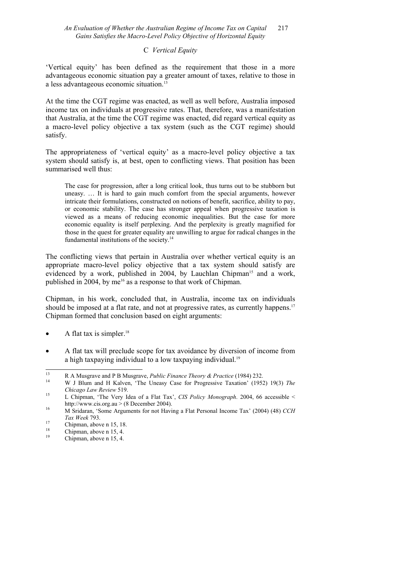## C *Vertical Equity*

'Vertical equity' has been defined as the requirement that those in a more advantageous economic situation pay a greater amount of taxes, relative to those in a less advantageous economic situation.13

At the time the CGT regime was enacted, as well as well before, Australia imposed income tax on individuals at progressive rates. That, therefore, was a manifestation that Australia, at the time the CGT regime was enacted, did regard vertical equity as a macro-level policy objective a tax system (such as the CGT regime) should satisfy.

The appropriateness of 'vertical equity' as a macro-level policy objective a tax system should satisfy is, at best, open to conflicting views. That position has been summarised well thus:

The case for progression, after a long critical look, thus turns out to be stubborn but uneasy. … It is hard to gain much comfort from the special arguments, however intricate their formulations, constructed on notions of benefit, sacrifice, ability to pay, or economic stability. The case has stronger appeal when progressive taxation is viewed as a means of reducing economic inequalities. But the case for more economic equality is itself perplexing. And the perplexity is greatly magnified for those in the quest for greater equality are unwilling to argue for radical changes in the fundamental institutions of the society.14

The conflicting views that pertain in Australia over whether vertical equity is an appropriate macro-level policy objective that a tax system should satisfy are evidenced by a work, published in 2004, by Lauchlan Chipman<sup>15</sup> and a work, published in 2004, by me<sup>16</sup> as a response to that work of Chipman.

Chipman, in his work, concluded that, in Australia, income tax on individuals should be imposed at a flat rate, and not at progressive rates, as currently happens.<sup>17</sup> Chipman formed that conclusion based on eight arguments:

- A flat tax is simpler.<sup>18</sup>
- A flat tax will preclude scope for tax avoidance by diversion of income from a high taxpaying individual to a low taxpaying individual.<sup>19</sup>

 $13$ 

<sup>13</sup> R A Musgrave and P B Musgrave, *Public Finance Theory & Practice* (1984) 232.<br><sup>14</sup> W J Blum and H Kalven, 'The Uneasy Case for Progressive Taxation' (1952) 19(3) *The* 

*Chicago Law Review* 519.<br><sup>15</sup> L Chipman, 'The Very Idea of a Flat Tax', *CIS Policy Monograph*. 2004, 66 accessible < http://www.cis.org.au > (8 December 2004).<br><sup>16</sup> M Sridaran, 'Some Arguments for not Having a Flat Personal Income Tax' (2004) (48) *CCH* 

*Tax Week* 793.<br> **Chipman**, above n 15, 18.<br>
<sup>18</sup>.

 $\frac{18}{19}$  Chipman, above n 15, 4.

Chipman, above n 15, 4.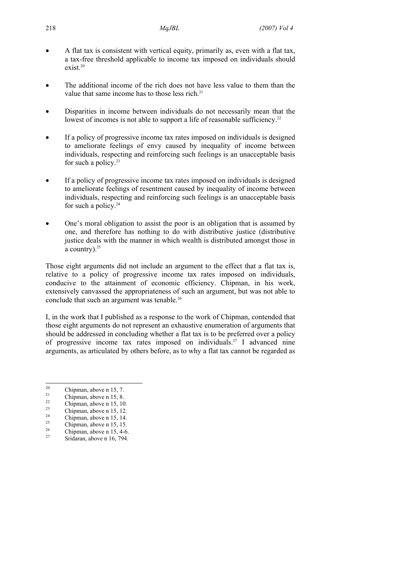- A flat tax is consistent with vertical equity, primarily as, even with a flat tax, a tax-free threshold applicable to income tax imposed on individuals should exist.20
- The additional income of the rich does not have less value to them than the value that same income has to those less rich.<sup>21</sup>
- Disparities in income between individuals do not necessarily mean that the lowest of incomes is not able to support a life of reasonable sufficiency.<sup>22</sup>
- If a policy of progressive income tax rates imposed on individuals is designed to ameliorate feelings of envy caused by inequality of income between individuals, respecting and reinforcing such feelings is an unacceptable basis for such a policy. $23$
- If a policy of progressive income tax rates imposed on individuals is designed to ameliorate feelings of resentment caused by inequality of income between individuals, respecting and reinforcing such feelings is an unacceptable basis for such a policy.<sup>24</sup>
- One's moral obligation to assist the poor is an obligation that is assumed by one, and therefore has nothing to do with distributive justice (distributive justice deals with the manner in which wealth is distributed amongst those in a country).<sup>25</sup>

Those eight arguments did not include an argument to the effect that a flat tax is, relative to a policy of progressive income tax rates imposed on individuals, conducive to the attainment of economic efficiency. Chipman, in his work, extensively canvassed the appropriateness of such an argument, but was not able to conclude that such an argument was tenable.<sup>26</sup>

I, in the work that I published as a response to the work of Chipman, contended that those eight arguments do not represent an exhaustive enumeration of arguments that should be addressed in concluding whether a flat tax is to be preferred over a policy of progressive income tax rates imposed on individuals.27 I advanced nine arguments, as articulated by others before, as to why a flat tax cannot be regarded as

 $\frac{23}{24}$  Chipman, above n 15, 12.

- $\frac{26}{27}$  Chipman, above n 15, 4-6.
- Sridaran, above n 16, 794.

 $\overline{20}$  $\frac{20}{21}$  Chipman, above n 15, 7.

 $\frac{21}{22}$  Chipman, above n 15, 8.

 $\frac{22}{23}$  Chipman, above n 15, 10.

 $\frac{24}{25}$  Chipman, above n 15, 14.

 $\frac{25}{26}$  Chipman, above n 15, 15.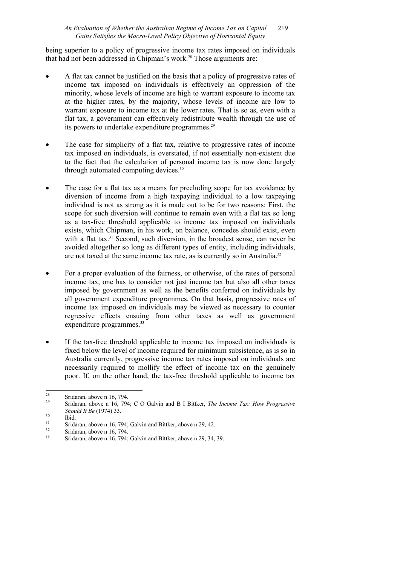being superior to a policy of progressive income tax rates imposed on individuals that had not been addressed in Chipman's work.<sup>28</sup> Those arguments are:

- A flat tax cannot be justified on the basis that a policy of progressive rates of income tax imposed on individuals is effectively an oppression of the minority, whose levels of income are high to warrant exposure to income tax at the higher rates, by the majority, whose levels of income are low to warrant exposure to income tax at the lower rates. That is so as, even with a flat tax, a government can effectively redistribute wealth through the use of its powers to undertake expenditure programmes.<sup>29</sup>
- The case for simplicity of a flat tax, relative to progressive rates of income tax imposed on individuals, is overstated, if not essentially non-existent due to the fact that the calculation of personal income tax is now done largely through automated computing devices.<sup>30</sup>
- The case for a flat tax as a means for precluding scope for tax avoidance by diversion of income from a high taxpaying individual to a low taxpaying individual is not as strong as it is made out to be for two reasons: First, the scope for such diversion will continue to remain even with a flat tax so long as a tax-free threshold applicable to income tax imposed on individuals exists, which Chipman, in his work, on balance, concedes should exist, even with a flat tax.<sup>31</sup> Second, such diversion, in the broadest sense, can never be avoided altogether so long as different types of entity, including individuals, are not taxed at the same income tax rate, as is currently so in Australia.<sup>32</sup>
- For a proper evaluation of the fairness, or otherwise, of the rates of personal income tax, one has to consider not just income tax but also all other taxes imposed by government as well as the benefits conferred on individuals by all government expenditure programmes. On that basis, progressive rates of income tax imposed on individuals may be viewed as necessary to counter regressive effects ensuing from other taxes as well as government expenditure programmes.<sup>33</sup>
- If the tax-free threshold applicable to income tax imposed on individuals is fixed below the level of income required for minimum subsistence, as is so in Australia currently, progressive income tax rates imposed on individuals are necessarily required to mollify the effect of income tax on the genuinely poor. If, on the other hand, the tax-free threshold applicable to income tax

<sup>28</sup>  $\frac{28}{29}$  Sridaran, above n 16, 794.

<sup>29</sup> Sridaran, above n 16, 794; C O Galvin and B I Bittker, *The Income Tax: How Progressive Should It Be* (1974) 33.<br><sup>30</sup> Ibid.<br><sup>31</sup> Shidanan above a 16.<sup>71</sup>

 $31$  Sridaran, above n 16, 794; Galvin and Bittker, above n 29, 42.

 $\frac{32}{33}$  Sridaran, above n 16, 794.

Sridaran, above n 16, 794; Galvin and Bittker, above n 29, 34, 39.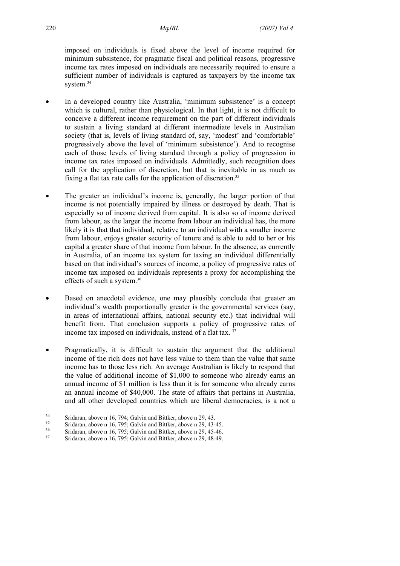imposed on individuals is fixed above the level of income required for minimum subsistence, for pragmatic fiscal and political reasons, progressive income tax rates imposed on individuals are necessarily required to ensure a sufficient number of individuals is captured as taxpayers by the income tax system.<sup>34</sup>

- In a developed country like Australia, 'minimum subsistence' is a concept which is cultural, rather than physiological. In that light, it is not difficult to conceive a different income requirement on the part of different individuals to sustain a living standard at different intermediate levels in Australian society (that is, levels of living standard of, say, 'modest' and 'comfortable' progressively above the level of 'minimum subsistence'). And to recognise each of those levels of living standard through a policy of progression in income tax rates imposed on individuals. Admittedly, such recognition does call for the application of discretion, but that is inevitable in as much as fixing a flat tax rate calls for the application of discretion.<sup>35</sup>
- The greater an individual's income is, generally, the larger portion of that income is not potentially impaired by illness or destroyed by death. That is especially so of income derived from capital. It is also so of income derived from labour, as the larger the income from labour an individual has, the more likely it is that that individual, relative to an individual with a smaller income from labour, enjoys greater security of tenure and is able to add to her or his capital a greater share of that income from labour. In the absence, as currently in Australia, of an income tax system for taxing an individual differentially based on that individual's sources of income, a policy of progressive rates of income tax imposed on individuals represents a proxy for accomplishing the effects of such a system.36
- Based on anecdotal evidence, one may plausibly conclude that greater an individual's wealth proportionally greater is the governmental services (say, in areas of international affairs, national security etc.) that individual will benefit from. That conclusion supports a policy of progressive rates of income tax imposed on individuals, instead of a flat tax.<sup>37</sup>
- Pragmatically, it is difficult to sustain the argument that the additional income of the rich does not have less value to them than the value that same income has to those less rich. An average Australian is likely to respond that the value of additional income of \$1,000 to someone who already earns an annual income of \$1 million is less than it is for someone who already earns an annual income of \$40,000. The state of affairs that pertains in Australia, and all other developed countries which are liberal democracies, is a not a

 $34$ <sup>34</sup> Sridaran, above n 16, 794; Galvin and Bittker, above n 29, 43.<br><sup>35</sup> Sridaran, above n 16, 795; Galvin and Bittler, above n 20, 42.

 $\frac{35}{26}$  Sridaran, above n 16, 795; Galvin and Bittker, above n 29, 43-45.

 $\frac{36}{37}$  Sridaran, above n 16, 795; Galvin and Bittker, above n 29, 45-46.

Sridaran, above n 16, 795; Galvin and Bittker, above n 29, 48-49.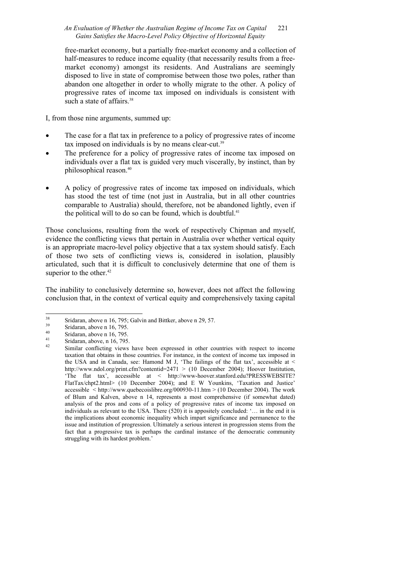## *An Evaluation of Whether the Australian Regime of Income Tax on Capital* 221 *Gains Satisfies the Macro-Level Policy Objective of Horizontal Equity*

free-market economy, but a partially free-market economy and a collection of half-measures to reduce income equality (that necessarily results from a freemarket economy) amongst its residents. And Australians are seemingly disposed to live in state of compromise between those two poles, rather than abandon one altogether in order to wholly migrate to the other. A policy of progressive rates of income tax imposed on individuals is consistent with such a state of affairs.<sup>38</sup>

I, from those nine arguments, summed up:

- The case for a flat tax in preference to a policy of progressive rates of income tax imposed on individuals is by no means clear-cut.<sup>39</sup>
- The preference for a policy of progressive rates of income tax imposed on individuals over a flat tax is guided very much viscerally, by instinct, than by philosophical reason.40
- A policy of progressive rates of income tax imposed on individuals, which has stood the test of time (not just in Australia, but in all other countries comparable to Australia) should, therefore, not be abandoned lightly, even if the political will to do so can be found, which is doubtful. $41$

Those conclusions, resulting from the work of respectively Chipman and myself, evidence the conflicting views that pertain in Australia over whether vertical equity is an appropriate macro-level policy objective that a tax system should satisfy. Each of those two sets of conflicting views is, considered in isolation, plausibly articulated, such that it is difficult to conclusively determine that one of them is superior to the other. $42$ 

The inability to conclusively determine so, however, does not affect the following conclusion that, in the context of vertical equity and comprehensively taxing capital

 $38$  $\frac{38}{39}$  Sridaran, above n 16, 795; Galvin and Bittker, above n 29, 57.

 $39$  Sridaran, above n 16, 795.

 $\frac{40}{41}$  Sridaran, above n 16, 795.

 $\frac{41}{42}$  Sridaran, above, n 16, 795.

Similar conflicting views have been expressed in other countries with respect to income taxation that obtains in those countries. For instance, in the context of income tax imposed in the USA and in Canada, see: Hamond M J, 'The failings of the flat tax', accessible at  $\leq$ http://www.ndol.org/print.cfm?contentid=2471 > (10 December 2004); Hoover Institution, 'The flat tax', accessible at < http://www-hoover.stanford.edu?PRESSWEBSITE? FlatTax/chpt2.html> (10 December 2004); and E W Younkins, 'Taxation and Justice' accessible < http://www.quebecoislibre.org/000930-11.htm > (10 December 2004). The work of Blum and Kalven, above n 14, represents a most comprehensive (if somewhat dated) analysis of the pros and cons of a policy of progressive rates of income tax imposed on individuals as relevant to the USA. There (520) it is appositely concluded: '… in the end it is the implications about economic inequality which impart significance and permanence to the issue and institution of progression. Ultimately a serious interest in progression stems from the fact that a progressive tax is perhaps the cardinal instance of the democratic community struggling with its hardest problem.'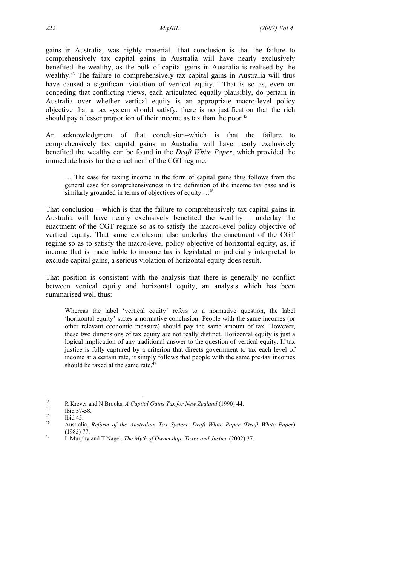gains in Australia, was highly material. That conclusion is that the failure to comprehensively tax capital gains in Australia will have nearly exclusively benefited the wealthy, as the bulk of capital gains in Australia is realised by the wealthy.<sup>43</sup> The failure to comprehensively tax capital gains in Australia will thus have caused a significant violation of vertical equity.<sup>44</sup> That is so as, even on conceding that conflicting views, each articulated equally plausibly, do pertain in Australia over whether vertical equity is an appropriate macro-level policy objective that a tax system should satisfy, there is no justification that the rich should pay a lesser proportion of their income as tax than the poor.<sup>45</sup>

An acknowledgment of that conclusion–which is that the failure to comprehensively tax capital gains in Australia will have nearly exclusively benefited the wealthy can be found in the *Draft White Paper*, which provided the immediate basis for the enactment of the CGT regime:

… The case for taxing income in the form of capital gains thus follows from the general case for comprehensiveness in the definition of the income tax base and is similarly grounded in terms of objectives of equity  $\dots^{46}$ 

That conclusion – which is that the failure to comprehensively tax capital gains in Australia will have nearly exclusively benefited the wealthy – underlay the enactment of the CGT regime so as to satisfy the macro-level policy objective of vertical equity. That same conclusion also underlay the enactment of the CGT regime so as to satisfy the macro-level policy objective of horizontal equity, as, if income that is made liable to income tax is legislated or judicially interpreted to exclude capital gains, a serious violation of horizontal equity does result.

That position is consistent with the analysis that there is generally no conflict between vertical equity and horizontal equity, an analysis which has been summarised well thus:

Whereas the label 'vertical equity' refers to a normative question, the label 'horizontal equity' states a normative conclusion: People with the same incomes (or other relevant economic measure) should pay the same amount of tax. However, these two dimensions of tax equity are not really distinct. Horizontal equity is just a logical implication of any traditional answer to the question of vertical equity. If tax justice is fully captured by a criterion that directs government to tax each level of income at a certain rate, it simply follows that people with the same pre-tax incomes should be taxed at the same rate.<sup>47</sup>

 $43$ 43 R Krever and N Brooks, *A Capital Gains Tax for New Zealand* (1990) 44.<br>
44 Ibid 57-58.<br>
45 H<sub>1</sub> 14.6

 $\frac{45}{46}$  Ibid 45.

<sup>46</sup> Australia, *Reform of the Australian Tax System: Draft White Paper (Draft White Paper*) (1985) 77. 47 L Murphy and T Nagel, *The Myth of Ownership: Taxes and Justice* (2002) 37.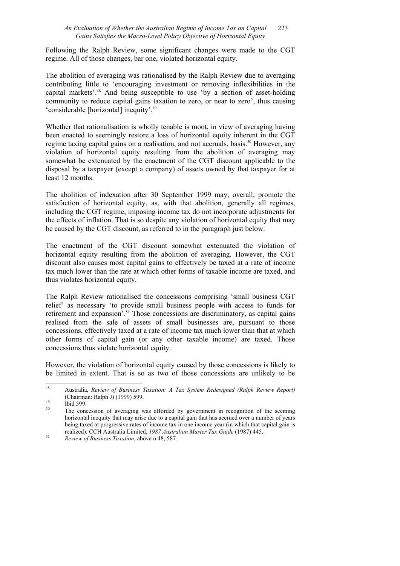### *An Evaluation of Whether the Australian Regime of Income Tax on Capital* 223 *Gains Satisfies the Macro-Level Policy Objective of Horizontal Equity*

Following the Ralph Review, some significant changes were made to the CGT regime. All of those changes, bar one, violated horizontal equity.

The abolition of averaging was rationalised by the Ralph Review due to averaging contributing little to 'encouraging investment or removing inflexibilities in the capital markets'.48 And being susceptible to use 'by a section of asset-holding community to reduce capital gains taxation to zero, or near to zero', thus causing 'considerable [horizontal] inequity'.49

Whether that rationalisation is wholly tenable is moot, in view of averaging having been enacted to seemingly restore a loss of horizontal equity inherent in the CGT regime taxing capital gains on a realisation, and not accruals, basis.<sup>50</sup> However, any violation of horizontal equity resulting from the abolition of averaging may somewhat be extenuated by the enactment of the CGT discount applicable to the disposal by a taxpayer (except a company) of assets owned by that taxpayer for at least 12 months.

The abolition of indexation after 30 September 1999 may, overall, promote the satisfaction of horizontal equity, as, with that abolition, generally all regimes, including the CGT regime, imposing income tax do not incorporate adjustments for the effects of inflation. That is so despite any violation of horizontal equity that may be caused by the CGT discount, as referred to in the paragraph just below.

The enactment of the CGT discount somewhat extenuated the violation of horizontal equity resulting from the abolition of averaging. However, the CGT discount also causes most capital gains to effectively be taxed at a rate of income tax much lower than the rate at which other forms of taxable income are taxed, and thus violates horizontal equity.

The Ralph Review rationalised the concessions comprising 'small business CGT relief' as necessary 'to provide small business people with access to funds for retirement and expansion'.51 Those concessions are discriminatory, as capital gains realised from the sale of assets of small businesses are, pursuant to those concessions, effectively taxed at a rate of income tax much lower than that at which other forms of capital gain (or any other taxable income) are taxed. Those concessions thus violate horizontal equity.

However, the violation of horizontal equity caused by those concessions is likely to be limited in extent. That is so as two of those concessions are unlikely to be

 $\overline{48}$ 48 Australia, *Review of Business Taxation: A Tax System Redesigned (Ralph Review Report)* (Chairman: Ralph J) (1999) 599.<br>
<sup>49</sup> Ibid 599.

The concession of averaging was afforded by government in recognition of the seeming horizontal inequity that may arise due to a capital gain that has accrued over a number of years being taxed at progressive rates of income tax in one income year (in which that capital gain is realized): CCH Australia Limited, *1987 Australian Master Tax Guide* (1987) 445. 51 *Review of Business Taxation*, above n 48, 587.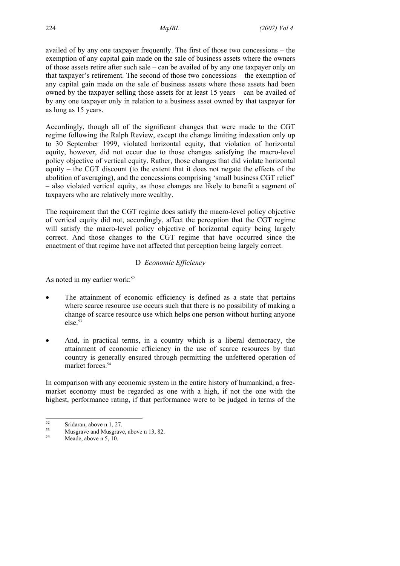availed of by any one taxpayer frequently. The first of those two concessions – the exemption of any capital gain made on the sale of business assets where the owners of those assets retire after such sale – can be availed of by any one taxpayer only on that taxpayer's retirement. The second of those two concessions – the exemption of any capital gain made on the sale of business assets where those assets had been owned by the taxpayer selling those assets for at least 15 years – can be availed of by any one taxpayer only in relation to a business asset owned by that taxpayer for as long as 15 years.

Accordingly, though all of the significant changes that were made to the CGT regime following the Ralph Review, except the change limiting indexation only up to 30 September 1999, violated horizontal equity, that violation of horizontal equity, however, did not occur due to those changes satisfying the macro-level policy objective of vertical equity. Rather, those changes that did violate horizontal equity – the CGT discount (to the extent that it does not negate the effects of the abolition of averaging), and the concessions comprising 'small business CGT relief' – also violated vertical equity, as those changes are likely to benefit a segment of taxpayers who are relatively more wealthy.

The requirement that the CGT regime does satisfy the macro-level policy objective of vertical equity did not, accordingly, affect the perception that the CGT regime will satisfy the macro-level policy objective of horizontal equity being largely correct. And those changes to the CGT regime that have occurred since the enactment of that regime have not affected that perception being largely correct.

## D *Economic Efficiency*

As noted in my earlier work: $52$ 

- The attainment of economic efficiency is defined as a state that pertains where scarce resource use occurs such that there is no possibility of making a change of scarce resource use which helps one person without hurting anyone else.53
- And, in practical terms, in a country which is a liberal democracy, the attainment of economic efficiency in the use of scarce resources by that country is generally ensured through permitting the unfettered operation of market forces.<sup>54</sup>

In comparison with any economic system in the entire history of humankind, a freemarket economy must be regarded as one with a high, if not the one with the highest, performance rating, if that performance were to be judged in terms of the

 $52$  $\frac{52}{53}$  Sridaran, above n 1, 27.

 $^{53}$  Musgrave and Musgrave, above n 13, 82.

Meade, above n 5, 10.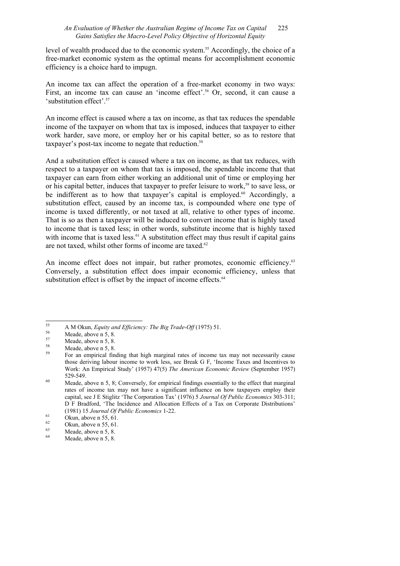## *An Evaluation of Whether the Australian Regime of Income Tax on Capital* 225 *Gains Satisfies the Macro-Level Policy Objective of Horizontal Equity*

level of wealth produced due to the economic system.<sup>55</sup> Accordingly, the choice of a free-market economic system as the optimal means for accomplishment economic efficiency is a choice hard to impugn.

An income tax can affect the operation of a free-market economy in two ways: First, an income tax can cause an 'income effect'.<sup>56</sup> Or, second, it can cause a 'substitution effect'.57

An income effect is caused where a tax on income, as that tax reduces the spendable income of the taxpayer on whom that tax is imposed, induces that taxpayer to either work harder, save more, or employ her or his capital better, so as to restore that taxpayer's post-tax income to negate that reduction.<sup>58</sup>

And a substitution effect is caused where a tax on income, as that tax reduces, with respect to a taxpayer on whom that tax is imposed, the spendable income that that taxpayer can earn from either working an additional unit of time or employing her or his capital better, induces that taxpayer to prefer leisure to work,<sup>59</sup> to save less, or be indifferent as to how that taxpayer's capital is employed.<sup>60</sup> Accordingly, a substitution effect, caused by an income tax, is compounded where one type of income is taxed differently, or not taxed at all, relative to other types of income. That is so as then a taxpayer will be induced to convert income that is highly taxed to income that is taxed less; in other words, substitute income that is highly taxed with income that is taxed less.<sup>61</sup> A substitution effect may thus result if capital gains are not taxed, whilst other forms of income are taxed.<sup>62</sup>

An income effect does not impair, but rather promotes, economic efficiency.<sup>63</sup> Conversely, a substitution effect does impair economic efficiency, unless that substitution effect is offset by the impact of income effects.<sup>64</sup>

<sup>55</sup> <sup>55</sup> A M Okun, *Equity and Efficiency: The Big Trade-Off* (1975) 51.<br>Meade, above n 5, 8.<br>Meade above n 5, 8.

 $57$  Meade, above n 5, 8.

 $58 \t\t Meade, above n 5, 8.$ 

<sup>59</sup> For an empirical finding that high marginal rates of income tax may not necessarily cause those deriving labour income to work less, see Break G F, 'Income Taxes and Incentives to Work: An Empirical Study' (1957) 47(5) *The American Economic Review* (September 1957) 529-549.<br>
60 Meade, above n 5, 8; Conversely, for empirical findings essentially to the effect that marginal

rates of income tax may not have a significant influence on how taxpayers employ their capital, see J E Stiglitz 'The Corporation Tax' (1976) 5 *Journal Of Public Economics* 303-311; D F Bradford, 'The Incidence and Allocation Effects of a Tax on Corporate Distributions' (1981) 15 *Journal Of Public Economics* 1-22.<br>
Okun, above n 55, 61.<br>
Okun, above n 55, 61.

 $\frac{62}{63}$  Okun, above n 55, 61.

 $^{63}$  Meade, above n 5, 8.

Meade, above n 5, 8.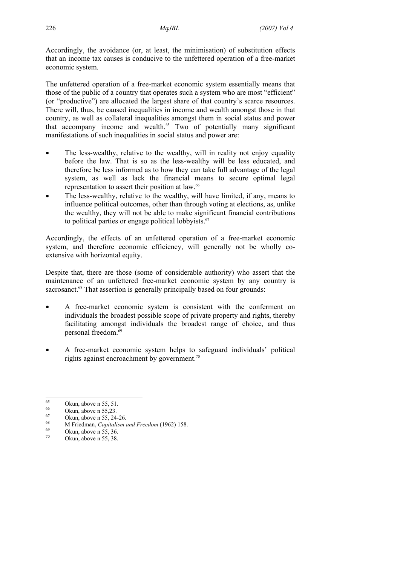Accordingly, the avoidance (or, at least, the minimisation) of substitution effects that an income tax causes is conducive to the unfettered operation of a free-market economic system.

The unfettered operation of a free-market economic system essentially means that those of the public of a country that operates such a system who are most "efficient" (or "productive") are allocated the largest share of that country's scarce resources. There will, thus, be caused inequalities in income and wealth amongst those in that country, as well as collateral inequalities amongst them in social status and power that accompany income and wealth. $65$  Two of potentially many significant manifestations of such inequalities in social status and power are:

- The less-wealthy, relative to the wealthy, will in reality not enjoy equality before the law. That is so as the less-wealthy will be less educated, and therefore be less informed as to how they can take full advantage of the legal system, as well as lack the financial means to secure optimal legal representation to assert their position at law.<sup>66</sup>
- The less-wealthy, relative to the wealthy, will have limited, if any, means to influence political outcomes, other than through voting at elections, as, unlike the wealthy, they will not be able to make significant financial contributions to political parties or engage political lobbyists.<sup>67</sup>

Accordingly, the effects of an unfettered operation of a free-market economic system, and therefore economic efficiency, will generally not be wholly coextensive with horizontal equity.

Despite that, there are those (some of considerable authority) who assert that the maintenance of an unfettered free-market economic system by any country is sacrosanct.<sup>68</sup> That assertion is generally principally based on four grounds:

- A free-market economic system is consistent with the conferment on individuals the broadest possible scope of private property and rights, thereby facilitating amongst individuals the broadest range of choice, and thus personal freedom.69
- A free-market economic system helps to safeguard individuals' political rights against encroachment by government.<sup>70</sup>

<sup>65</sup>  $\frac{65}{66}$  Okun, above n 55, 51.

 $^{66}$  Okun, above n 55,23.

 $\frac{67}{68}$  Okun, above n 55, 24-26.

<sup>&</sup>lt;sup>68</sup> M Friedman, *Capitalism and Freedom* (1962) 158.<br>
Okun, above n 55, 36.

Okun, above n 55, 38.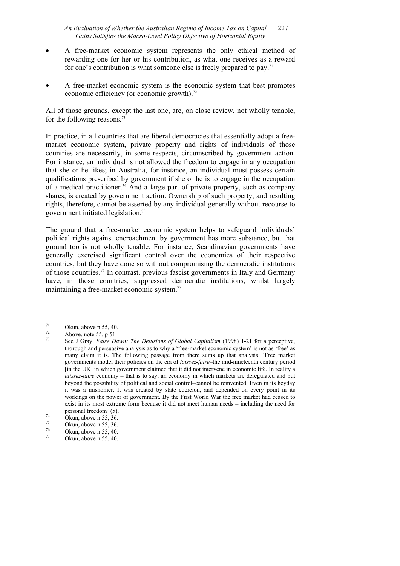## *An Evaluation of Whether the Australian Regime of Income Tax on Capital* 227 *Gains Satisfies the Macro-Level Policy Objective of Horizontal Equity*

- A free-market economic system represents the only ethical method of rewarding one for her or his contribution, as what one receives as a reward for one's contribution is what someone else is freely prepared to pay.<sup>71</sup>
- A free-market economic system is the economic system that best promotes economic efficiency (or economic growth).<sup>72</sup>

All of those grounds, except the last one, are, on close review, not wholly tenable, for the following reasons.73

In practice, in all countries that are liberal democracies that essentially adopt a freemarket economic system, private property and rights of individuals of those countries are necessarily, in some respects, circumscribed by government action. For instance, an individual is not allowed the freedom to engage in any occupation that she or he likes; in Australia, for instance, an individual must possess certain qualifications prescribed by government if she or he is to engage in the occupation of a medical practitioner.<sup>74</sup> And a large part of private property, such as company shares, is created by government action. Ownership of such property, and resulting rights, therefore, cannot be asserted by any individual generally without recourse to government initiated legislation.75

The ground that a free-market economic system helps to safeguard individuals' political rights against encroachment by government has more substance, but that ground too is not wholly tenable. For instance, Scandinavian governments have generally exercised significant control over the economies of their respective countries, but they have done so without compromising the democratic institutions of those countries.76 In contrast, previous fascist governments in Italy and Germany have, in those countries, suppressed democratic institutions, whilst largely maintaining a free-market economic system.<sup>77</sup>

 $71$  $\frac{71}{72}$  Okun, above n 55, 40.

 $^{72}$  Above, note 55, p 51.<br>
See LGray Ealso De

<sup>73</sup> See J Gray, *False Dawn: The Delusions of Global Capitalism* (1998) 1-21 for a perceptive, thorough and persuasive analysis as to why a 'free-market economic system' is not as 'free' as many claim it is. The following passage from there sums up that analysis: 'Free market governments model their policies on the era of *laissez-faire*–the mid-nineteenth century period [in the UK] in which government claimed that it did not intervene in economic life. In reality a *laissez-faire* economy – that is to say, an economy in which markets are deregulated and put beyond the possibility of political and social control–cannot be reinvented. Even in its heyday it was a misnomer. It was created by state coercion, and depended on every point in its workings on the power of government. By the First World War the free market had ceased to exist in its most extreme form because it did not meet human needs – including the need for

personal freedom' (5).<br>
Okun, above n 55, 36.<br>
Okun, above n 55, 36.

 $\frac{75}{76}$  Okun, above n 55, 36.

 $\frac{76}{77}$  Okun, above n 55, 40.

Okun, above n 55, 40.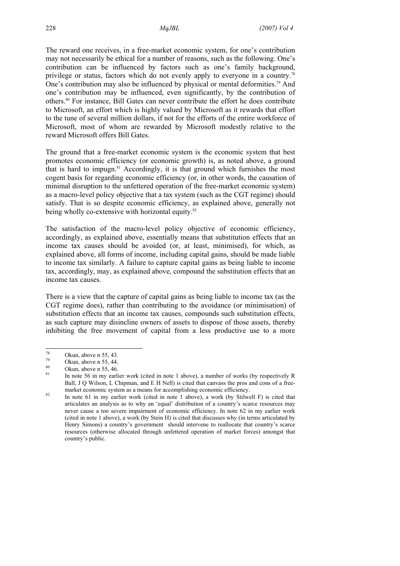The reward one receives, in a free-market economic system, for one's contribution may not necessarily be ethical for a number of reasons, such as the following. One's contribution can be influenced by factors such as one's family background, privilege or status, factors which do not evenly apply to everyone in a country.78 One's contribution may also be influenced by physical or mental deformities.<sup>79</sup> And one's contribution may be influenced, even significantly, by the contribution of others.80 For instance, Bill Gates can never contribute the effort he does contribute to Microsoft, an effort which is highly valued by Microsoft as it rewards that effort to the tune of several million dollars, if not for the efforts of the entire workforce of Microsoft, most of whom are rewarded by Microsoft modestly relative to the reward Microsoft offers Bill Gates.

The ground that a free-market economic system is the economic system that best promotes economic efficiency (or economic growth) is, as noted above, a ground that is hard to impugn. $81$  Accordingly, it is that ground which furnishes the most cogent basis for regarding economic efficiency (or, in other words, the causation of minimal disruption to the unfettered operation of the free-market economic system) as a macro-level policy objective that a tax system (such as the CGT regime) should satisfy. That is so despite economic efficiency, as explained above, generally not being wholly co-extensive with horizontal equity.<sup>82</sup>

The satisfaction of the macro-level policy objective of economic efficiency, accordingly, as explained above, essentially means that substitution effects that an income tax causes should be avoided (or, at least, minimised), for which, as explained above, all forms of income, including capital gains, should be made liable to income tax similarly. A failure to capture capital gains as being liable to income tax, accordingly, may, as explained above, compound the substitution effects that an income tax causes.

There is a view that the capture of capital gains as being liable to income tax (as the CGT regime does), rather than contributing to the avoidance (or minimisation) of substitution effects that an income tax causes, compounds such substitution effects, as such capture may disincline owners of assets to dispose of those assets, thereby inhibiting the free movement of capital from a less productive use to a more

<sup>78</sup>  $\frac{78}{79}$  Okun, above n 55, 43.

 $\frac{79}{80}$  Okun, above n 55, 44.

 $\frac{80}{81}$  Okun, above n 55, 46.

<sup>81</sup> In note 56 in my earlier work (cited in note 1 above), a number of works (by respectively R Ball, J Q Wilson, L Chipman, and E H Nell) is cited that canvass the pros and cons of a free-

market economic system as a means for accomplishing economic efficiency.<br><sup>82</sup> In note 61 in my earlier work (cited in note 1 above), a work (by Stilwell F) is cited that articulates an analysis as to why an 'equal' distribution of a country's scarce resources may never cause a too severe impairment of economic efficiency. In note 62 in my earlier work (cited in note 1 above), a work (by Stein H) is cited that discusses why (in terms articulated by Henry Simons) a country's government should intervene to reallocate that country's scarce resources (otherwise allocated through unfettered operation of market forces) amongst that country's public.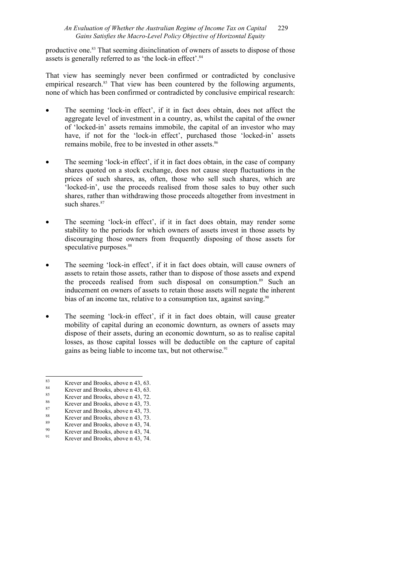## *An Evaluation of Whether the Australian Regime of Income Tax on Capital* 229 *Gains Satisfies the Macro-Level Policy Objective of Horizontal Equity*

productive one.83 That seeming disinclination of owners of assets to dispose of those assets is generally referred to as 'the lock-in effect'.<sup>84</sup>

That view has seemingly never been confirmed or contradicted by conclusive empirical research.<sup>85</sup> That view has been countered by the following arguments, none of which has been confirmed or contradicted by conclusive empirical research:

- The seeming 'lock-in effect', if it in fact does obtain, does not affect the aggregate level of investment in a country, as, whilst the capital of the owner of 'locked-in' assets remains immobile, the capital of an investor who may have, if not for the 'lock-in effect', purchased those 'locked-in' assets remains mobile, free to be invested in other assets.<sup>86</sup>
- The seeming 'lock-in effect', if it in fact does obtain, in the case of company shares quoted on a stock exchange, does not cause steep fluctuations in the prices of such shares, as, often, those who sell such shares, which are 'locked-in', use the proceeds realised from those sales to buy other such shares, rather than withdrawing those proceeds altogether from investment in such shares $87$
- The seeming 'lock-in effect', if it in fact does obtain, may render some stability to the periods for which owners of assets invest in those assets by discouraging those owners from frequently disposing of those assets for speculative purposes.<sup>88</sup>
- The seeming 'lock-in effect', if it in fact does obtain, will cause owners of assets to retain those assets, rather than to dispose of those assets and expend the proceeds realised from such disposal on consumption.<sup>89</sup> Such an inducement on owners of assets to retain those assets will negate the inherent bias of an income tax, relative to a consumption tax, against saving.<sup>90</sup>
- The seeming 'lock-in effect', if it in fact does obtain, will cause greater mobility of capital during an economic downturn, as owners of assets may dispose of their assets, during an economic downturn, so as to realise capital losses, as those capital losses will be deductible on the capture of capital gains as being liable to income tax, but not otherwise.<sup>91</sup>

 $\overline{83}$  $83$  Krever and Brooks, above n 43, 63.

<sup>&</sup>lt;sup>84</sup> Krever and Brooks, above n 43, 63.

<sup>&</sup>lt;sup>85</sup> Krever and Brooks, above n 43, 72.<br><sup>86</sup> Krown and Brooks, above n 43, 72.

 $rac{86}{87}$  Krever and Brooks, above n 43, 73.

 $87$  Krever and Brooks, above n 43, 73.

<sup>&</sup>lt;sup>88</sup> Krever and Brooks, above n 43, 73.

<sup>&</sup>lt;sup>89</sup> Krever and Brooks, above n 43, 74.

<sup>&</sup>lt;sup>90</sup> Krever and Brooks, above n 43, 74. Krever and Brooks, above n 43, 74.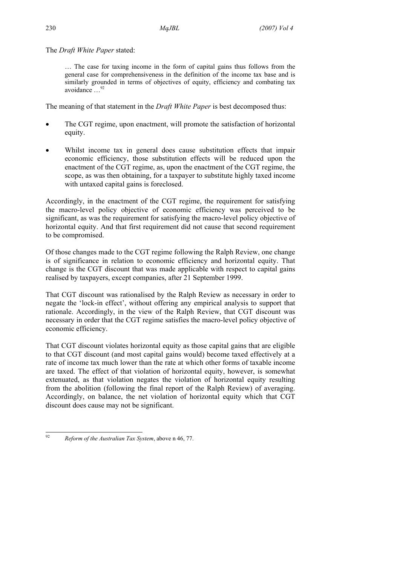The *Draft White Paper* stated:

… The case for taxing income in the form of capital gains thus follows from the general case for comprehensiveness in the definition of the income tax base and is similarly grounded in terms of objectives of equity, efficiency and combating tax avoidance …92

The meaning of that statement in the *Draft White Paper* is best decomposed thus:

- The CGT regime, upon enactment, will promote the satisfaction of horizontal equity.
- Whilst income tax in general does cause substitution effects that impair economic efficiency, those substitution effects will be reduced upon the enactment of the CGT regime, as, upon the enactment of the CGT regime, the scope, as was then obtaining, for a taxpayer to substitute highly taxed income with untaxed capital gains is foreclosed.

Accordingly, in the enactment of the CGT regime, the requirement for satisfying the macro-level policy objective of economic efficiency was perceived to be significant, as was the requirement for satisfying the macro-level policy objective of horizontal equity. And that first requirement did not cause that second requirement to be compromised.

Of those changes made to the CGT regime following the Ralph Review, one change is of significance in relation to economic efficiency and horizontal equity. That change is the CGT discount that was made applicable with respect to capital gains realised by taxpayers, except companies, after 21 September 1999.

That CGT discount was rationalised by the Ralph Review as necessary in order to negate the 'lock-in effect', without offering any empirical analysis to support that rationale. Accordingly, in the view of the Ralph Review, that CGT discount was necessary in order that the CGT regime satisfies the macro-level policy objective of economic efficiency.

That CGT discount violates horizontal equity as those capital gains that are eligible to that CGT discount (and most capital gains would) become taxed effectively at a rate of income tax much lower than the rate at which other forms of taxable income are taxed. The effect of that violation of horizontal equity, however, is somewhat extenuated, as that violation negates the violation of horizontal equity resulting from the abolition (following the final report of the Ralph Review) of averaging. Accordingly, on balance, the net violation of horizontal equity which that CGT discount does cause may not be significant.

 $92$ 92 *Reform of the Australian Tax System*, above n 46, 77.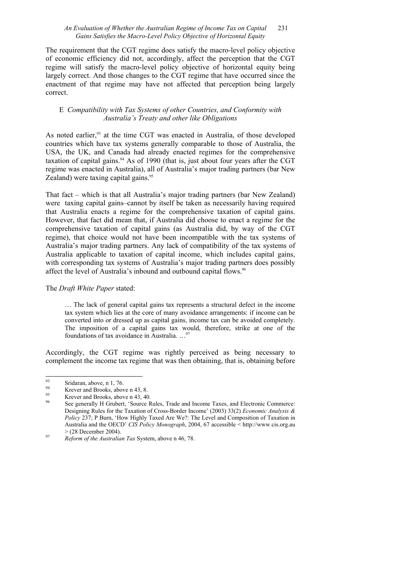## *An Evaluation of Whether the Australian Regime of Income Tax on Capital* 231 *Gains Satisfies the Macro-Level Policy Objective of Horizontal Equity*

The requirement that the CGT regime does satisfy the macro-level policy objective of economic efficiency did not, accordingly, affect the perception that the CGT regime will satisfy the macro-level policy objective of horizontal equity being largely correct. And those changes to the CGT regime that have occurred since the enactment of that regime may have not affected that perception being largely correct.

## E *Compatibility with Tax Systems of other Countries, and Conformity with Australia's Treaty and other like Obligations*

As noted earlier,<sup>93</sup> at the time CGT was enacted in Australia, of those developed countries which have tax systems generally comparable to those of Australia, the USA, the UK, and Canada had already enacted regimes for the comprehensive taxation of capital gains. $94$  As of 1990 (that is, just about four years after the CGT regime was enacted in Australia), all of Australia's major trading partners (bar New Zealand) were taxing capital gains.<sup>95</sup>

That fact – which is that all Australia's major trading partners (bar New Zealand) were taxing capital gains–cannot by itself be taken as necessarily having required that Australia enacts a regime for the comprehensive taxation of capital gains. However, that fact did mean that, if Australia did choose to enact a regime for the comprehensive taxation of capital gains (as Australia did, by way of the CGT regime), that choice would not have been incompatible with the tax systems of Australia's major trading partners. Any lack of compatibility of the tax systems of Australia applicable to taxation of capital income, which includes capital gains, with corresponding tax systems of Australia's major trading partners does possibly affect the level of Australia's inbound and outbound capital flows.<sup>96</sup>

## The *Draft White Paper* stated:

… The lack of general capital gains tax represents a structural defect in the income tax system which lies at the core of many avoidance arrangements: if income can be converted into or dressed up as capital gains, income tax can be avoided completely. The imposition of a capital gains tax would, therefore, strike at one of the foundations of tax avoidance in Australia. …97

Accordingly, the CGT regime was rightly perceived as being necessary to complement the income tax regime that was then obtaining, that is, obtaining before

 $93$  $\frac{93}{94}$  Sridaran, above, n 1, 76.

<sup>&</sup>lt;sup>94</sup> Krever and Brooks, above n 43, 8.

Krever and Brooks, above n 43, 40.

<sup>96</sup> See generally H Grubert, 'Source Rules, Trade and Income Taxes, and Electronic Commerce: Designing Rules for the Taxation of Cross-Border Income' (2003) 33(2) *Economic Analysis & Policy* 237; P Burn, 'How Highly Taxed Are We?: The Level and Composition of Taxation in Australia and the OECD' *CIS Policy Monograph*, 2004, 67 accessible < http://www.cis.org.au > (28 December 2004). 97 *Reform of the Australian Tax* System, above n 46, 78.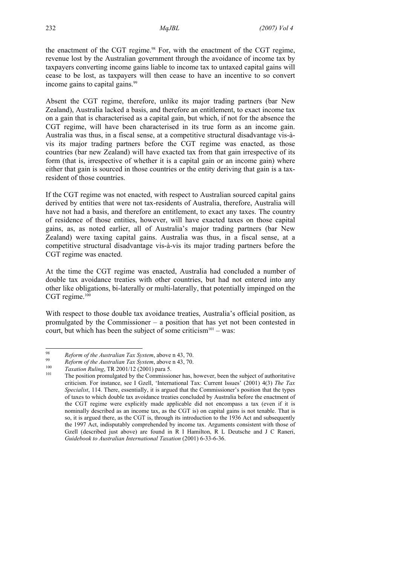the enactment of the CGT regime. $98$  For, with the enactment of the CGT regime, revenue lost by the Australian government through the avoidance of income tax by taxpayers converting income gains liable to income tax to untaxed capital gains will cease to be lost, as taxpayers will then cease to have an incentive to so convert income gains to capital gains.<sup>99</sup>

Absent the CGT regime, therefore, unlike its major trading partners (bar New Zealand), Australia lacked a basis, and therefore an entitlement, to exact income tax on a gain that is characterised as a capital gain, but which, if not for the absence the CGT regime, will have been characterised in its true form as an income gain. Australia was thus, in a fiscal sense, at a competitive structural disadvantage vis-àvis its major trading partners before the CGT regime was enacted, as those countries (bar new Zealand) will have exacted tax from that gain irrespective of its form (that is, irrespective of whether it is a capital gain or an income gain) where either that gain is sourced in those countries or the entity deriving that gain is a taxresident of those countries.

If the CGT regime was not enacted, with respect to Australian sourced capital gains derived by entities that were not tax-residents of Australia, therefore, Australia will have not had a basis, and therefore an entitlement, to exact any taxes. The country of residence of those entities, however, will have exacted taxes on those capital gains, as, as noted earlier, all of Australia's major trading partners (bar New Zealand) were taxing capital gains. Australia was thus, in a fiscal sense, at a competitive structural disadvantage vis-à-vis its major trading partners before the CGT regime was enacted.

At the time the CGT regime was enacted, Australia had concluded a number of double tax avoidance treaties with other countries, but had not entered into any other like obligations, bi-laterally or multi-laterally, that potentially impinged on the CGT regime.<sup>100</sup>

With respect to those double tax avoidance treaties, Australia's official position, as promulgated by the Commissioner – a position that has yet not been contested in court, but which has been the subject of some criticism $101 - \text{was}$ :

<sup>98</sup> 

<sup>&</sup>lt;sup>98</sup> Reform of the Australian Tax System, above n 43, 70.<br>
<sup>99</sup> Reform of the Australian Tax System, above n 43, 70.<br>
<sup>100</sup> Taxation Ruling, TR 2001/12 (2001) para 5.<br>
<sup>101</sup> The position promulgated by the Commissioner ha criticism. For instance, see I Gzell, 'International Tax: Current Issues' (2001) 4(3) *The Tax Specialist*, 114. There, essentially, it is argued that the Commissioner's position that the types of taxes to which double tax avoidance treaties concluded by Australia before the enactment of the CGT regime were explicitly made applicable did not encompass a tax (even if it is nominally described as an income tax, as the CGT is) on capital gains is not tenable. That is so, it is argued there, as the CGT is, through its introduction to the 1936 Act and subsequently the 1997 Act, indisputably comprehended by income tax. Arguments consistent with those of Gzell (described just above) are found in R I Hamilton, R L Deutsche and J C Raneri, *Guidebook to Australian International Taxation* (2001) 6-33-6-36.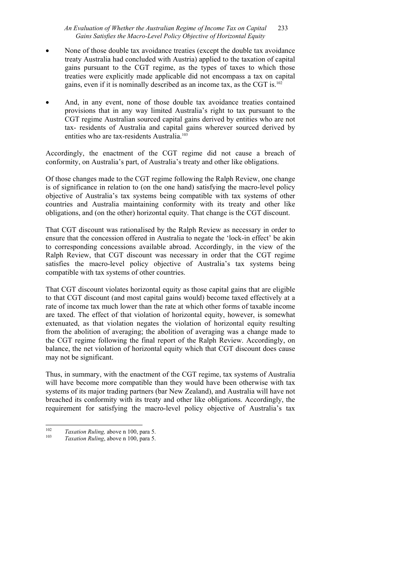## *An Evaluation of Whether the Australian Regime of Income Tax on Capital* 233 *Gains Satisfies the Macro-Level Policy Objective of Horizontal Equity*

- None of those double tax avoidance treaties (except the double tax avoidance treaty Australia had concluded with Austria) applied to the taxation of capital gains pursuant to the CGT regime, as the types of taxes to which those treaties were explicitly made applicable did not encompass a tax on capital gains, even if it is nominally described as an income tax, as the CGT is.102
- And, in any event, none of those double tax avoidance treaties contained provisions that in any way limited Australia's right to tax pursuant to the CGT regime Australian sourced capital gains derived by entities who are not tax- residents of Australia and capital gains wherever sourced derived by entities who are tax-residents Australia.<sup>103</sup>

Accordingly, the enactment of the CGT regime did not cause a breach of conformity, on Australia's part, of Australia's treaty and other like obligations.

Of those changes made to the CGT regime following the Ralph Review, one change is of significance in relation to (on the one hand) satisfying the macro-level policy objective of Australia's tax systems being compatible with tax systems of other countries and Australia maintaining conformity with its treaty and other like obligations, and (on the other) horizontal equity. That change is the CGT discount.

That CGT discount was rationalised by the Ralph Review as necessary in order to ensure that the concession offered in Australia to negate the 'lock-in effect' be akin to corresponding concessions available abroad. Accordingly, in the view of the Ralph Review, that CGT discount was necessary in order that the CGT regime satisfies the macro-level policy objective of Australia's tax systems being compatible with tax systems of other countries.

That CGT discount violates horizontal equity as those capital gains that are eligible to that CGT discount (and most capital gains would) become taxed effectively at a rate of income tax much lower than the rate at which other forms of taxable income are taxed. The effect of that violation of horizontal equity, however, is somewhat extenuated, as that violation negates the violation of horizontal equity resulting from the abolition of averaging; the abolition of averaging was a change made to the CGT regime following the final report of the Ralph Review. Accordingly, on balance, the net violation of horizontal equity which that CGT discount does cause may not be significant.

Thus, in summary, with the enactment of the CGT regime, tax systems of Australia will have become more compatible than they would have been otherwise with tax systems of its major trading partners (bar New Zealand), and Australia will have not breached its conformity with its treaty and other like obligations. Accordingly, the requirement for satisfying the macro-level policy objective of Australia's tax

 $\frac{1}{102}$ <sup>102</sup>*Taxation Ruling,* above n 100, para 5. 103 *Taxation Ruling*, above n 100, para 5.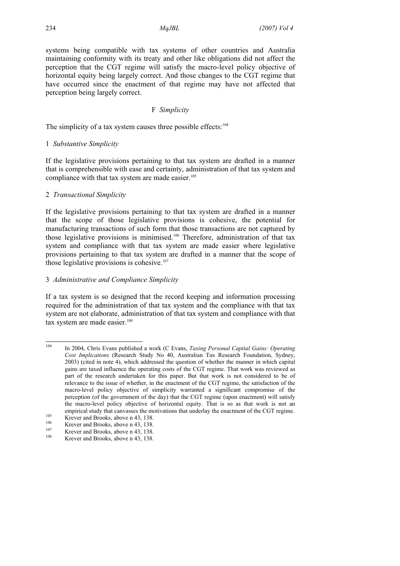systems being compatible with tax systems of other countries and Australia maintaining conformity with its treaty and other like obligations did not affect the perception that the CGT regime will satisfy the macro-level policy objective of horizontal equity being largely correct. And those changes to the CGT regime that have occurred since the enactment of that regime may have not affected that perception being largely correct.

### F *Simplicity*

The simplicity of a tax system causes three possible effects:<sup>104</sup>

#### 1 *Substantive Simplicity*

If the legislative provisions pertaining to that tax system are drafted in a manner that is comprehensible with ease and certainty, administration of that tax system and compliance with that tax system are made easier.<sup>105</sup>

### 2 *Transactional Simplicity*

If the legislative provisions pertaining to that tax system are drafted in a manner that the scope of those legislative provisions is cohesive, the potential for manufacturing transactions of such form that those transactions are not captured by those legislative provisions is minimised.106 Therefore, administration of that tax system and compliance with that tax system are made easier where legislative provisions pertaining to that tax system are drafted in a manner that the scope of those legislative provisions is cohesive.<sup>107</sup>

#### 3 *Administrative and Compliance Simplicity*

If a tax system is so designed that the record keeping and information processing required for the administration of that tax system and the compliance with that tax system are not elaborate, administration of that tax system and compliance with that tax system are made easier.<sup>108</sup>

 $104$ 104 In 2004, Chris Evans published a work (C Evans, *Taxing Personal Capital Gains: Operating Cost Implications* (Research Study No 40, Australian Tax Research Foundation, Sydney, 2003) (cited in note 4), which addressed the question of whether the manner in which capital gains are taxed influence the operating costs of the CGT regime. That work was reviewed as part of the research undertaken for this paper. But that work is not considered to be of relevance to the issue of whether, in the enactment of the CGT regime, the satisfaction of the macro-level policy objective of simplicity warranted a significant compromise of the perception (of the government of the day) that the CGT regime (upon enactment) will satisfy the macro-level policy objective of horizontal equity. That is so as that work is not an empirical study that canvasses the motivations that underlay the enactment of the CGT regime.<br>
Krever and Brooks, above n 43, 138.<br>
Krever and Brooks, above n 43, 138.<br>
Krever and Brooks, above n 43, 138.<br>
Krever and Brook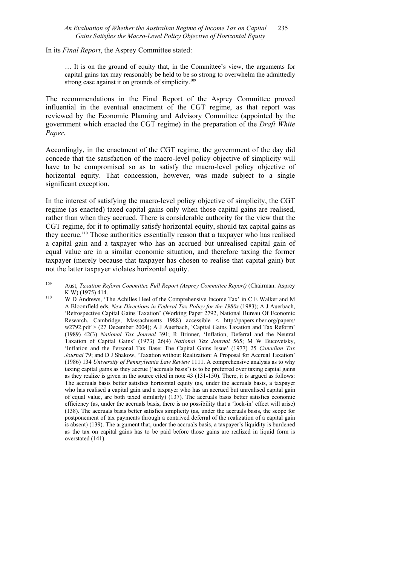#### *An Evaluation of Whether the Australian Regime of Income Tax on Capital* 235 *Gains Satisfies the Macro-Level Policy Objective of Horizontal Equity*

In its *Final Report*, the Asprey Committee stated:

… It is on the ground of equity that, in the Committee's view, the arguments for capital gains tax may reasonably be held to be so strong to overwhelm the admittedly strong case against it on grounds of simplicity. $109$ 

The recommendations in the Final Report of the Asprey Committee proved influential in the eventual enactment of the CGT regime, as that report was reviewed by the Economic Planning and Advisory Committee (appointed by the government which enacted the CGT regime) in the preparation of the *Draft White Paper*.

Accordingly, in the enactment of the CGT regime, the government of the day did concede that the satisfaction of the macro-level policy objective of simplicity will have to be compromised so as to satisfy the macro-level policy objective of horizontal equity. That concession, however, was made subject to a single significant exception.

In the interest of satisfying the macro-level policy objective of simplicity, the CGT regime (as enacted) taxed capital gains only when those capital gains are realised, rather than when they accrued. There is considerable authority for the view that the CGT regime, for it to optimally satisfy horizontal equity, should tax capital gains as they accrue.110 Those authorities essentially reason that a taxpayer who has realised a capital gain and a taxpayer who has an accrued but unrealised capital gain of equal value are in a similar economic situation, and therefore taxing the former taxpayer (merely because that taxpayer has chosen to realise that capital gain) but not the latter taxpayer violates horizontal equity.

<sup>109</sup> 109 Aust, *Taxation Reform Committee Full Report (Asprey Committee Report)* (Chairman: Asprey K W) (1975) 414.<br><sup>110</sup> W D Andrews, 'The Achilles Heel of the Comprehensive Income Tax' in C E Walker and M

A Bloomfield eds, *New Directions in Federal Tax Policy for the 1980s* (1983); A J Auerbach, 'Retrospective Capital Gains Taxation' (Working Paper 2792, National Bureau Of Economic Research, Cambridge, Massachusetts 1988) accessible < http://papers.nber.org/papers/ w2792.pdf > (27 December 2004); A J Auerbach, 'Capital Gains Taxation and Tax Reform' (1989) 42(3) *National Tax Journal* 391; R Brinner, 'Inflation, Deferral and the Neutral Taxation of Capital Gains' (1973) 26(4) *National Tax Journal* 565; M W Bucovetsky, 'Inflation and the Personal Tax Base: The Capital Gains Issue' (1977) 25 *Canadian Tax Journal* 79; and D J Shakow, 'Taxation without Realization: A Proposal for Accrual Taxation' (1986) 134 *University of Pennsylvania Law Review* 1111. A comprehensive analysis as to why taxing capital gains as they accrue ('accruals basis') is to be preferred over taxing capital gains as they realize is given in the source cited in note 43 (131-150). There, it is argued as follows: The accruals basis better satisfies horizontal equity (as, under the accruals basis, a taxpayer who has realised a capital gain and a taxpayer who has an accrued but unrealised capital gain of equal value, are both taxed similarly) (137). The accruals basis better satisfies economic efficiency (as, under the accruals basis, there is no possibility that a 'lock-in' effect will arise) (138). The accruals basis better satisfies simplicity (as, under the accruals basis, the scope for postponement of tax payments through a contrived deferral of the realization of a capital gain is absent) (139). The argument that, under the accruals basis, a taxpayer's liquidity is burdened as the tax on capital gains has to be paid before those gains are realized in liquid form is overstated (141).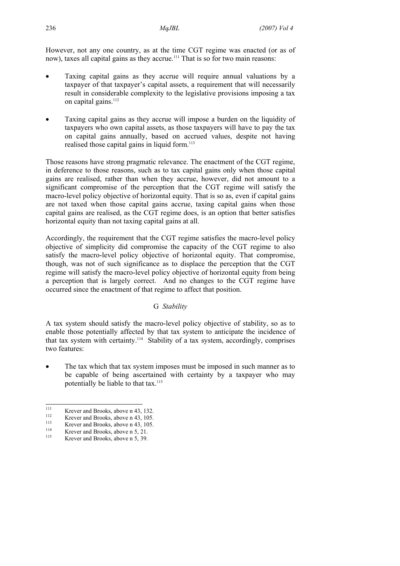However, not any one country, as at the time CGT regime was enacted (or as of now), taxes all capital gains as they accrue.<sup>111</sup> That is so for two main reasons:

- Taxing capital gains as they accrue will require annual valuations by a taxpayer of that taxpayer's capital assets, a requirement that will necessarily result in considerable complexity to the legislative provisions imposing a tax on capital gains.<sup>112</sup>
- Taxing capital gains as they accrue will impose a burden on the liquidity of taxpayers who own capital assets, as those taxpayers will have to pay the tax on capital gains annually, based on accrued values, despite not having realised those capital gains in liquid form.<sup>113</sup>

Those reasons have strong pragmatic relevance. The enactment of the CGT regime, in deference to those reasons, such as to tax capital gains only when those capital gains are realised, rather than when they accrue, however, did not amount to a significant compromise of the perception that the CGT regime will satisfy the macro-level policy objective of horizontal equity. That is so as, even if capital gains are not taxed when those capital gains accrue, taxing capital gains when those capital gains are realised, as the CGT regime does, is an option that better satisfies horizontal equity than not taxing capital gains at all.

Accordingly, the requirement that the CGT regime satisfies the macro-level policy objective of simplicity did compromise the capacity of the CGT regime to also satisfy the macro-level policy objective of horizontal equity. That compromise, though, was not of such significance as to displace the perception that the CGT regime will satisfy the macro-level policy objective of horizontal equity from being a perception that is largely correct. And no changes to the CGT regime have occurred since the enactment of that regime to affect that position.

### G *Stability*

A tax system should satisfy the macro-level policy objective of stability, so as to enable those potentially affected by that tax system to anticipate the incidence of that tax system with certainty.114 Stability of a tax system, accordingly, comprises two features:

The tax which that tax system imposes must be imposed in such manner as to be capable of being ascertained with certainty by a taxpayer who may potentially be liable to that tax.<sup>115</sup>

<sup>111</sup> 

Fix Krever and Brooks, above n 43, 132.<br>
113 Krever and Brooks, above n 43, 105.<br>
114 Krever and Brooks, above n 5, 21.<br>
115 Krever and Brooks, above n 5, 39.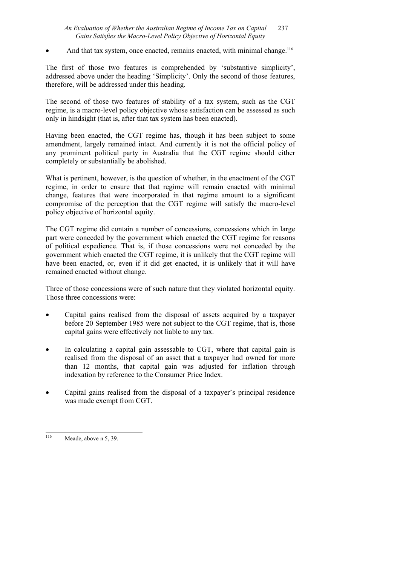## *An Evaluation of Whether the Australian Regime of Income Tax on Capital* 237 *Gains Satisfies the Macro-Level Policy Objective of Horizontal Equity*

And that tax system, once enacted, remains enacted, with minimal change.<sup>116</sup>

The first of those two features is comprehended by 'substantive simplicity', addressed above under the heading 'Simplicity'. Only the second of those features, therefore, will be addressed under this heading.

The second of those two features of stability of a tax system, such as the CGT regime, is a macro-level policy objective whose satisfaction can be assessed as such only in hindsight (that is, after that tax system has been enacted).

Having been enacted, the CGT regime has, though it has been subject to some amendment, largely remained intact. And currently it is not the official policy of any prominent political party in Australia that the CGT regime should either completely or substantially be abolished.

What is pertinent, however, is the question of whether, in the enactment of the CGT regime, in order to ensure that that regime will remain enacted with minimal change, features that were incorporated in that regime amount to a significant compromise of the perception that the CGT regime will satisfy the macro-level policy objective of horizontal equity.

The CGT regime did contain a number of concessions, concessions which in large part were conceded by the government which enacted the CGT regime for reasons of political expedience. That is, if those concessions were not conceded by the government which enacted the CGT regime, it is unlikely that the CGT regime will have been enacted, or, even if it did get enacted, it is unlikely that it will have remained enacted without change.

Three of those concessions were of such nature that they violated horizontal equity. Those three concessions were:

- Capital gains realised from the disposal of assets acquired by a taxpayer before 20 September 1985 were not subject to the CGT regime, that is, those capital gains were effectively not liable to any tax.
- In calculating a capital gain assessable to CGT, where that capital gain is realised from the disposal of an asset that a taxpayer had owned for more than 12 months, that capital gain was adjusted for inflation through indexation by reference to the Consumer Price Index.
- Capital gains realised from the disposal of a taxpayer's principal residence was made exempt from CGT.

<sup>116</sup> Meade, above n 5, 39.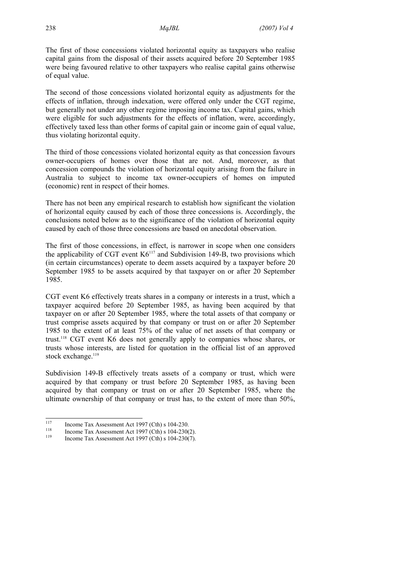The first of those concessions violated horizontal equity as taxpayers who realise capital gains from the disposal of their assets acquired before 20 September 1985 were being favoured relative to other taxpayers who realise capital gains otherwise of equal value.

The second of those concessions violated horizontal equity as adjustments for the effects of inflation, through indexation, were offered only under the CGT regime, but generally not under any other regime imposing income tax. Capital gains, which were eligible for such adjustments for the effects of inflation, were, accordingly, effectively taxed less than other forms of capital gain or income gain of equal value, thus violating horizontal equity.

The third of those concessions violated horizontal equity as that concession favours owner-occupiers of homes over those that are not. And, moreover, as that concession compounds the violation of horizontal equity arising from the failure in Australia to subject to income tax owner-occupiers of homes on imputed (economic) rent in respect of their homes.

There has not been any empirical research to establish how significant the violation of horizontal equity caused by each of those three concessions is. Accordingly, the conclusions noted below as to the significance of the violation of horizontal equity caused by each of those three concessions are based on anecdotal observation.

The first of those concessions, in effect, is narrower in scope when one considers the applicability of CGT event  $K6^{117}$  and Subdivision 149-B, two provisions which (in certain circumstances) operate to deem assets acquired by a taxpayer before 20 September 1985 to be assets acquired by that taxpayer on or after 20 September 1985.

CGT event K6 effectively treats shares in a company or interests in a trust, which a taxpayer acquired before 20 September 1985, as having been acquired by that taxpayer on or after 20 September 1985, where the total assets of that company or trust comprise assets acquired by that company or trust on or after 20 September 1985 to the extent of at least 75% of the value of net assets of that company or trust.118 CGT event K6 does not generally apply to companies whose shares, or trusts whose interests, are listed for quotation in the official list of an approved stock exchange.<sup>119</sup>

Subdivision 149-B effectively treats assets of a company or trust, which were acquired by that company or trust before 20 September 1985, as having been acquired by that company or trust on or after 20 September 1985, where the ultimate ownership of that company or trust has, to the extent of more than 50%,

<sup>117</sup> 

<sup>&</sup>lt;sup>117</sup> Income Tax Assessment Act 1997 (Cth) s 104-230.<br>
Income Tax Assessment Act 1997 (Cth) s 104-230(2).<br>
Income Tax Assessment Act 1997 (Cth) s 104-230(7).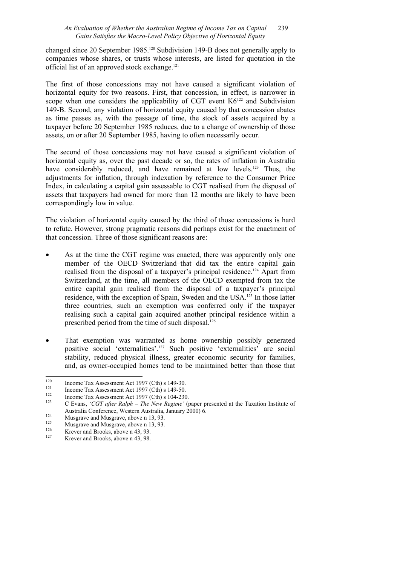## *An Evaluation of Whether the Australian Regime of Income Tax on Capital* 239 *Gains Satisfies the Macro-Level Policy Objective of Horizontal Equity*

changed since 20 September 1985.120 Subdivision 149-B does not generally apply to companies whose shares, or trusts whose interests, are listed for quotation in the official list of an approved stock exchange.<sup>121</sup>

The first of those concessions may not have caused a significant violation of horizontal equity for two reasons. First, that concession, in effect, is narrower in scope when one considers the applicability of CGT event  $K6^{122}$  and Subdivision 149-B. Second, any violation of horizontal equity caused by that concession abates as time passes as, with the passage of time, the stock of assets acquired by a taxpayer before 20 September 1985 reduces, due to a change of ownership of those assets, on or after 20 September 1985, having to often necessarily occur.

The second of those concessions may not have caused a significant violation of horizontal equity as, over the past decade or so, the rates of inflation in Australia have considerably reduced, and have remained at low levels.<sup>123</sup> Thus, the adjustments for inflation, through indexation by reference to the Consumer Price Index, in calculating a capital gain assessable to CGT realised from the disposal of assets that taxpayers had owned for more than 12 months are likely to have been correspondingly low in value.

The violation of horizontal equity caused by the third of those concessions is hard to refute. However, strong pragmatic reasons did perhaps exist for the enactment of that concession. Three of those significant reasons are:

- As at the time the CGT regime was enacted, there was apparently only one member of the OECD–Switzerland–that did tax the entire capital gain realised from the disposal of a taxpayer's principal residence.124 Apart from Switzerland, at the time, all members of the OECD exempted from tax the entire capital gain realised from the disposal of a taxpayer's principal residence, with the exception of Spain, Sweden and the USA.125 In those latter three countries, such an exemption was conferred only if the taxpayer realising such a capital gain acquired another principal residence within a prescribed period from the time of such disposal.126
- That exemption was warranted as home ownership possibly generated positive social 'externalities'.127 Such positive 'externalities' are social stability, reduced physical illness, greater economic security for families, and, as owner-occupied homes tend to be maintained better than those that

 $120$ 

<sup>&</sup>lt;sup>120</sup><br>
Income Tax Assessment Act 1997 (Cth) s 149-30.<br>
<sup>121</sup><br>
Income Tax Assessment Act 1997 (Cth) s 149-50.<br>
<sup>122</sup><br>
C Evans. 'CGT after Ralph – The New Regime' (paper presented at the Taxation Institute of Australia Conference, Western Australia, January 2000) 6.<br>
<sup>124</sup> Musgrave and Musgrave, above n 13, 93.<br>
<sup>126</sup> Krever and Brooks, above n 43, 93.<br>
<sup>127</sup> Krever and Brooks, above n 43, 98.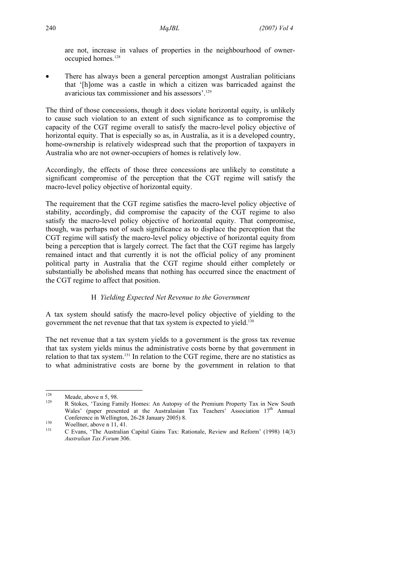are not, increase in values of properties in the neighbourhood of owneroccupied homes.128

There has always been a general perception amongst Australian politicians that '[h]ome was a castle in which a citizen was barricaded against the avaricious tax commissioner and his assessors'.129

The third of those concessions, though it does violate horizontal equity, is unlikely to cause such violation to an extent of such significance as to compromise the capacity of the CGT regime overall to satisfy the macro-level policy objective of horizontal equity. That is especially so as, in Australia, as it is a developed country, home-ownership is relatively widespread such that the proportion of taxpayers in Australia who are not owner-occupiers of homes is relatively low.

Accordingly, the effects of those three concessions are unlikely to constitute a significant compromise of the perception that the CGT regime will satisfy the macro-level policy objective of horizontal equity.

The requirement that the CGT regime satisfies the macro-level policy objective of stability, accordingly, did compromise the capacity of the CGT regime to also satisfy the macro-level policy objective of horizontal equity. That compromise, though, was perhaps not of such significance as to displace the perception that the CGT regime will satisfy the macro-level policy objective of horizontal equity from being a perception that is largely correct. The fact that the CGT regime has largely remained intact and that currently it is not the official policy of any prominent political party in Australia that the CGT regime should either completely or substantially be abolished means that nothing has occurred since the enactment of the CGT regime to affect that position.

## H *Yielding Expected Net Revenue to the Government*

A tax system should satisfy the macro-level policy objective of yielding to the government the net revenue that that tax system is expected to yield.130

The net revenue that a tax system yields to a government is the gross tax revenue that tax system yields minus the administrative costs borne by that government in relation to that tax system.131 In relation to the CGT regime, there are no statistics as to what administrative costs are borne by the government in relation to that

<sup>128</sup> 

<sup>&</sup>lt;sup>128</sup> Meade, above n 5, 98.<br><sup>129</sup> R Stokes, 'Taxing Family Homes: An Autopsy of the Premium Property Tax in New South Wales' (paper presented at the Australasian Tax Teachers' Association 17<sup>th</sup> Annual Conference in Wellington, 26-28 January 2005) 8.<br>
130 Woellner, above n 11, 41.<br>
131 C Evans, 'The Australian Capital Gains Tax: Rationale, Review and Reform' (1998) 14(3)

*Australian Tax Forum* 306.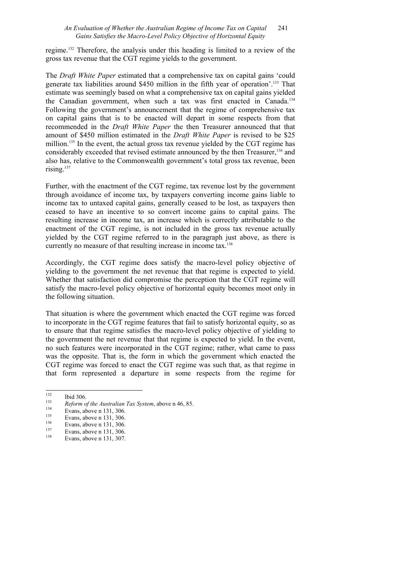## *An Evaluation of Whether the Australian Regime of Income Tax on Capital* 241 *Gains Satisfies the Macro-Level Policy Objective of Horizontal Equity*

regime.132 Therefore, the analysis under this heading is limited to a review of the gross tax revenue that the CGT regime yields to the government.

The *Draft White Paper* estimated that a comprehensive tax on capital gains 'could generate tax liabilities around \$450 million in the fifth year of operation'.133 That estimate was seemingly based on what a comprehensive tax on capital gains yielded the Canadian government, when such a tax was first enacted in Canada.134 Following the government's announcement that the regime of comprehensive tax on capital gains that is to be enacted will depart in some respects from that recommended in the *Draft White Paper* the then Treasurer announced that that amount of \$450 million estimated in the *Draft White Paper* is revised to be \$25 million.<sup>135</sup> In the event, the actual gross tax revenue yielded by the CGT regime has considerably exceeded that revised estimate announced by the then Treasurer,<sup>136</sup> and also has, relative to the Commonwealth government's total gross tax revenue, been rising.<sup>137</sup>

Further, with the enactment of the CGT regime, tax revenue lost by the government through avoidance of income tax, by taxpayers converting income gains liable to income tax to untaxed capital gains, generally ceased to be lost, as taxpayers then ceased to have an incentive to so convert income gains to capital gains. The resulting increase in income tax, an increase which is correctly attributable to the enactment of the CGT regime, is not included in the gross tax revenue actually yielded by the CGT regime referred to in the paragraph just above, as there is currently no measure of that resulting increase in income tax.<sup>138</sup>

Accordingly, the CGT regime does satisfy the macro-level policy objective of yielding to the government the net revenue that that regime is expected to yield. Whether that satisfaction did compromise the perception that the CGT regime will satisfy the macro-level policy objective of horizontal equity becomes moot only in the following situation.

That situation is where the government which enacted the CGT regime was forced to incorporate in the CGT regime features that fail to satisfy horizontal equity, so as to ensure that that regime satisfies the macro-level policy objective of yielding to the government the net revenue that that regime is expected to yield. In the event, no such features were incorporated in the CGT regime; rather, what came to pass was the opposite. That is, the form in which the government which enacted the CGT regime was forced to enact the CGT regime was such that, as that regime in that form represented a departure in some respects from the regime for

<sup>132</sup> 

<sup>132</sup> Ibid 306.<br> *Reform of the Australian Tax System*, above n 46, 85.<br>
Evans, above n 131, 306.<br>
Evans, above n 131, 306.<br>
<sup>137</sup> Evans, above n 131, 306.<br>
<sup>138</sup> Evans, above n 131, 307.<br>
<sup>138</sup> Evans, above n 131, 307.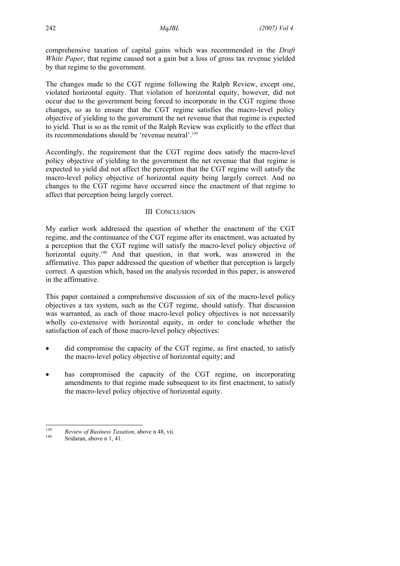comprehensive taxation of capital gains which was recommended in the *Draft White Paper*, that regime caused not a gain but a loss of gross tax revenue yielded by that regime to the government.

The changes made to the CGT regime following the Ralph Review, except one, violated horizontal equity. That violation of horizontal equity, however, did not occur due to the government being forced to incorporate in the CGT regime those changes, so as to ensure that the CGT regime satisfies the macro-level policy objective of yielding to the government the net revenue that that regime is expected to yield. That is so as the remit of the Ralph Review was explicitly to the effect that its recommendations should be 'revenue neutral'.139

Accordingly, the requirement that the CGT regime does satisfy the macro-level policy objective of yielding to the government the net revenue that that regime is expected to yield did not affect the perception that the CGT regime will satisfy the macro-level policy objective of horizontal equity being largely correct. And no changes to the CGT regime have occurred since the enactment of that regime to affect that perception being largely correct.

## III CONCLUSION

My earlier work addressed the question of whether the enactment of the CGT regime, and the continuance of the CGT regime after its enactment, was actuated by a perception that the CGT regime will satisfy the macro-level policy objective of horizontal equity.<sup>140</sup> And that question, in that work, was answered in the affirmative. This paper addressed the question of whether that perception is largely correct. A question which, based on the analysis recorded in this paper, is answered in the affirmative.

This paper contained a comprehensive discussion of six of the macro-level policy objectives a tax system, such as the CGT regime, should satisfy. That discussion was warranted, as each of those macro-level policy objectives is not necessarily wholly co-extensive with horizontal equity, in order to conclude whether the satisfaction of each of those macro-level policy objectives:

- did compromise the capacity of the CGT regime, as first enacted, to satisfy the macro-level policy objective of horizontal equity; and
- has compromised the capacity of the CGT regime, on incorporating amendments to that regime made subsequent to its first enactment, to satisfy the macro-level policy objective of horizontal equity.

 $139$ <sup>139</sup> *Review of Business Taxation*, above n 48, vii.<br><sup>140</sup> Sridaran, above n 1, 41.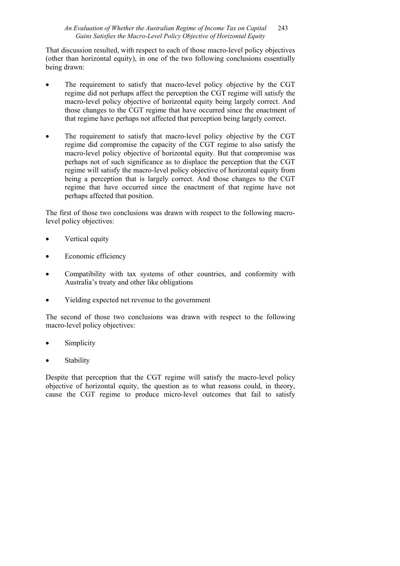## *An Evaluation of Whether the Australian Regime of Income Tax on Capital* 243 *Gains Satisfies the Macro-Level Policy Objective of Horizontal Equity*

That discussion resulted, with respect to each of those macro-level policy objectives (other than horizontal equity), in one of the two following conclusions essentially being drawn:

- The requirement to satisfy that macro-level policy objective by the CGT regime did not perhaps affect the perception the CGT regime will satisfy the macro-level policy objective of horizontal equity being largely correct. And those changes to the CGT regime that have occurred since the enactment of that regime have perhaps not affected that perception being largely correct.
- The requirement to satisfy that macro-level policy objective by the CGT regime did compromise the capacity of the CGT regime to also satisfy the macro-level policy objective of horizontal equity. But that compromise was perhaps not of such significance as to displace the perception that the CGT regime will satisfy the macro-level policy objective of horizontal equity from being a perception that is largely correct. And those changes to the CGT regime that have occurred since the enactment of that regime have not perhaps affected that position.

The first of those two conclusions was drawn with respect to the following macrolevel policy objectives:

- Vertical equity
- Economic efficiency
- Compatibility with tax systems of other countries, and conformity with Australia's treaty and other like obligations
- Yielding expected net revenue to the government

The second of those two conclusions was drawn with respect to the following macro-level policy objectives:

- **Simplicity**
- **Stability**

Despite that perception that the CGT regime will satisfy the macro-level policy objective of horizontal equity, the question as to what reasons could, in theory, cause the CGT regime to produce micro-level outcomes that fail to satisfy